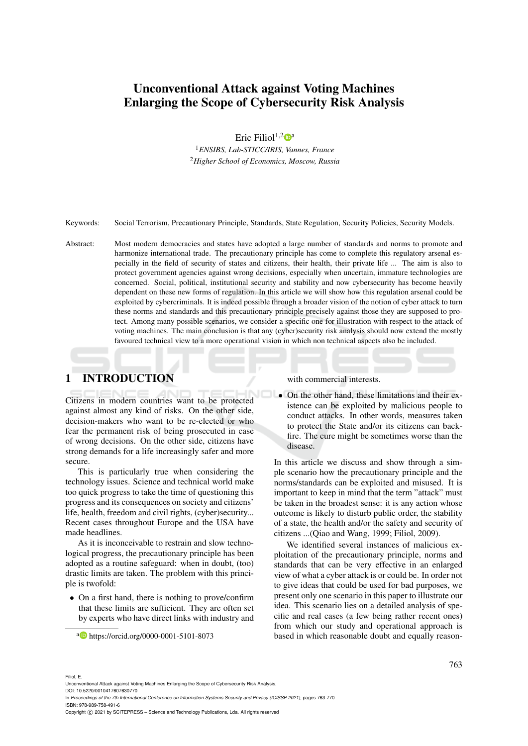# Unconventional Attack against Voting Machines Enlarging the Scope of Cybersecurity Risk Analysis

Eric Filiol<sup>1,2</sup> $\mathbb{D}^a$ 

<sup>1</sup>*ENSIBS, Lab-STICC/IRIS, Vannes, France* <sup>2</sup>*Higher School of Economics, Moscow, Russia*

Keywords: Social Terrorism, Precautionary Principle, Standards, State Regulation, Security Policies, Security Models.

Abstract: Most modern democracies and states have adopted a large number of standards and norms to promote and harmonize international trade. The precautionary principle has come to complete this regulatory arsenal especially in the field of security of states and citizens, their health, their private life ... The aim is also to protect government agencies against wrong decisions, especially when uncertain, immature technologies are concerned. Social, political, institutional security and stability and now cybersecurity has become heavily dependent on these new forms of regulation. In this article we will show how this regulation arsenal could be exploited by cybercriminals. It is indeed possible through a broader vision of the notion of cyber attack to turn these norms and standards and this precautionary principle precisely against those they are supposed to protect. Among many possible scenarios, we consider a specific one for illustration with respect to the attack of voting machines. The main conclusion is that any (cyber)security risk analysis should now extend the mostly favoured technical view to a more operational vision in which non technical aspects also be included.

# 1 INTRODUCTION

Citizens in modern countries want to be protected against almost any kind of risks. On the other side, decision-makers who want to be re-elected or who fear the permanent risk of being prosecuted in case of wrong decisions. On the other side, citizens have strong demands for a life increasingly safer and more secure.

This is particularly true when considering the technology issues. Science and technical world make too quick progress to take the time of questioning this progress and its consequences on society and citizens' life, health, freedom and civil rights, (cyber)security... Recent cases throughout Europe and the USA have made headlines.

As it is inconceivable to restrain and slow technological progress, the precautionary principle has been adopted as a routine safeguard: when in doubt, (too) drastic limits are taken. The problem with this principle is twofold:

- On a first hand, there is nothing to prove/confirm that these limits are sufficient. They are often set by experts who have direct links with industry and
	- <sup>a</sup> https://orcid.org/0000-0001-5101-8073

with commercial interests.

• On the other hand, these limitations and their existence can be exploited by malicious people to conduct attacks. In other words, measures taken to protect the State and/or its citizens can backfire. The cure might be sometimes worse than the disease.

In this article we discuss and show through a simple scenario how the precautionary principle and the norms/standards can be exploited and misused. It is important to keep in mind that the term "attack" must be taken in the broadest sense: it is any action whose outcome is likely to disturb public order, the stability of a state, the health and/or the safety and security of citizens ...(Qiao and Wang, 1999; Filiol, 2009).

We identified several instances of malicious exploitation of the precautionary principle, norms and standards that can be very effective in an enlarged view of what a cyber attack is or could be. In order not to give ideas that could be used for bad purposes, we present only one scenario in this paper to illustrate our idea. This scenario lies on a detailed analysis of specific and real cases (a few being rather recent ones) from which our study and operational approach is based in which reasonable doubt and equally reason-

DOI: 10.5220/0010417607630770 In *Proceedings of the 7th International Conference on Information Systems Security and Privacy (ICISSP 2021)*, pages 763-770 ISBN: 978-989-758-491-6

Unconventional Attack against Voting Machines Enlarging the Scope of Cybersecurity Risk Analysis.

Copyright (C) 2021 by SCITEPRESS - Science and Technology Publications, Lda. All rights reserved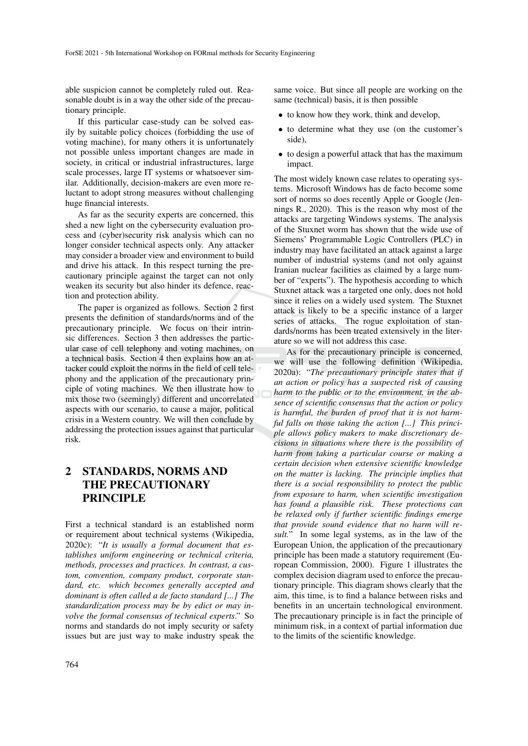able suspicion cannot be completely ruled out. Reasonable doubt is in a way the other side of the precautionary principle.

If this particular case-study can be solved easily by suitable policy choices (forbidding the use of voting machine), for many others it is unfortunately not possible unless important changes are made in society, in critical or industrial infrastructures, large scale processes, large IT systems or whatsoever similar. Additionally, decision-makers are even more reluctant to adopt strong measures without challenging huge financial interests.

As far as the security experts are concerned, this shed a new light on the cybersecurity evaluation process and (cyber)security risk analysis which can no longer consider technical aspects only. Any attacker may consider a broader view and environment to build and drive his attack. In this respect turning the precautionary principle against the target can not only weaken its security but also hinder its defence, reaction and protection ability.

The paper is organized as follows. Section 2 first presents the definition of standards/norms and of the precautionary principle. We focus on their intrinsic differences. Section 3 then addresses the particular case of cell telephony and voting machines, on a technical basis. Section 4 then explains how an attacker could exploit the norms in the field of cell telephony and the application of the precautionary principle of voting machines. We then illustrate how to mix those two (seemingly) different and uncorrelated aspects with our scenario, to cause a major, political crisis in a Western country. We will then conclude by addressing the protection issues against that particular risk.

## 2 STANDARDS, NORMS AND THE PRECAUTIONARY PRINCIPLE

First a technical standard is an established norm or requirement about technical systems (Wikipedia, 2020c): "*It is usually a formal document that establishes uniform engineering or technical criteria, methods, processes and practices. In contrast, a custom, convention, company product, corporate standard, etc. which becomes generally accepted and dominant is often called a de facto standard [...] The standardization process may be by edict or may involve the formal consensus of technical experts*." So norms and standards do not imply security or safety issues but are just way to make industry speak the same voice. But since all people are working on the same (technical) basis, it is then possible

- to know how they work, think and develop,
- to determine what they use (on the customer's side),
- to design a powerful attack that has the maximum impact.

The most widely known case relates to operating systems. Microsoft Windows has de facto become some sort of norms so does recently Apple or Google (Jennings R., 2020). This is the reason why most of the attacks are targeting Windows systems. The analysis of the Stuxnet worm has shown that the wide use of Siemens' Programmable Logic Controllers (PLC) in industry may have facilitated an attack against a large number of industrial systems (and not only against Iranian nuclear facilities as claimed by a large number of "experts"). The hypothesis according to which Stuxnet attack was a targeted one only, does not hold since it relies on a widely used system. The Stuxnet attack is likely to be a specific instance of a larger series of attacks. The rogue exploitation of standards/norms has been treated extensively in the literature so we will not address this case.

As for the precautionary principle is concerned, we will use the following definition (Wikipedia, 2020a): "*The precautionary principle states that if an action or policy has a suspected risk of causing harm to the public or to the environment, in the absence of scientific consensus that the action or policy is harmful, the burden of proof that it is not harmful falls on those taking the action [...] This principle allows policy makers to make discretionary decisions in situations where there is the possibility of harm from taking a particular course or making a certain decision when extensive scientific knowledge on the matter is lacking. The principle implies that there is a social responsibility to protect the public from exposure to harm, when scientific investigation has found a plausible risk. These protections can be relaxed only if further scientific findings emerge that provide sound evidence that no harm will result.*" In some legal systems, as in the law of the European Union, the application of the precautionary principle has been made a statutory requirement (European Commission, 2000). Figure 1 illustrates the complex decision diagram used to enforce the precautionary principle. This diagram shows clearly that the aim, this time, is to find a balance between risks and benefits in an uncertain technological environment. The precautionary principle is in fact the principle of minimum risk, in a context of partial information due to the limits of the scientific knowledge.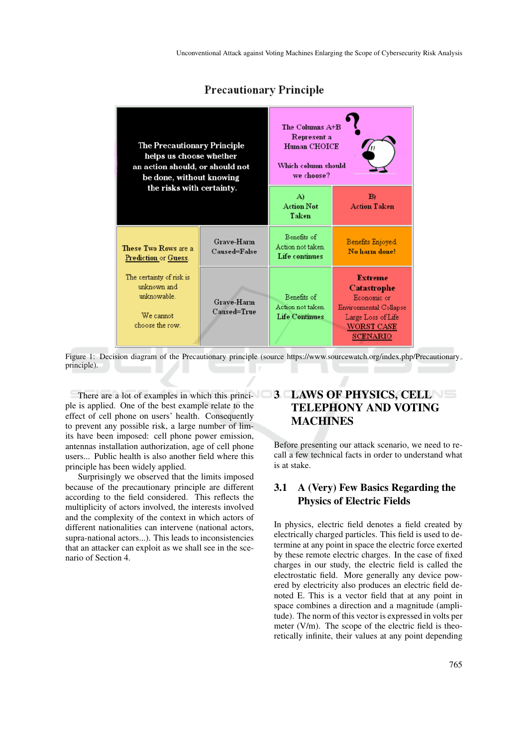

#### **Precautionary Principle**

Figure 1: Decision diagram of the Precautionary principle (source https://www.sourcewatch.org/index.php/Precautionary\_ principle). . .

ple is applied. One of the best example relate to the effect of cell phone on users' health. Consequently to prevent any possible risk, a large number of limits have been imposed: cell phone power emission, antennas installation authorization, age of cell phone users... Public health is also another field where this principle has been widely applied.

Surprisingly we observed that the limits imposed because of the precautionary principle are different according to the field considered. This reflects the multiplicity of actors involved, the interests involved and the complexity of the context in which actors of different nationalities can intervene (national actors, supra-national actors...). This leads to inconsistencies that an attacker can exploit as we shall see in the scenario of Section 4.

## There are a lot of examples in which this princi-  $\qquad$  3 LAWS OF PHYSICS, CELL TELEPHONY AND VOTING **MACHINES**

Before presenting our attack scenario, we need to recall a few technical facts in order to understand what is at stake.

### 3.1 A (Very) Few Basics Regarding the Physics of Electric Fields

In physics, electric field denotes a field created by electrically charged particles. This field is used to determine at any point in space the electric force exerted by these remote electric charges. In the case of fixed charges in our study, the electric field is called the electrostatic field. More generally any device powered by electricity also produces an electric field denoted E. This is a vector field that at any point in space combines a direction and a magnitude (amplitude). The norm of this vector is expressed in volts per meter (V/m). The scope of the electric field is theoretically infinite, their values at any point depending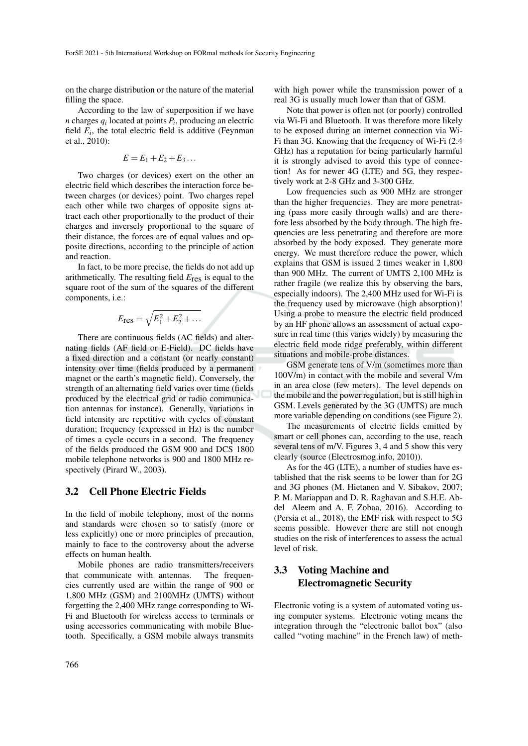on the charge distribution or the nature of the material filling the space.

According to the law of superposition if we have *n* charges *q<sup>i</sup>* located at points *P<sup>i</sup>* , producing an electric field  $E_i$ , the total electric field is additive (Feynman et al., 2010):

$$
E=E_1+E_2+E_3\ldots
$$

Two charges (or devices) exert on the other an electric field which describes the interaction force between charges (or devices) point. Two charges repel each other while two charges of opposite signs attract each other proportionally to the product of their charges and inversely proportional to the square of their distance, the forces are of equal values and opposite directions, according to the principle of action and reaction.

In fact, to be more precise, the fields do not add up arithmetically. The resulting field *E*res is equal to the square root of the sum of the squares of the different components, i.e.:

$$
E_{\text{res}} = \sqrt{E_1^2 + E_2^2 + \dots}
$$

There are continuous fields (AC fields) and alternating fields (AF field or E-Field). DC fields have a fixed direction and a constant (or nearly constant) intensity over time (fields produced by a permanent magnet or the earth's magnetic field). Conversely, the strength of an alternating field varies over time (fields produced by the electrical grid or radio communication antennas for instance). Generally, variations in field intensity are repetitive with cycles of constant duration; frequency (expressed in Hz) is the number of times a cycle occurs in a second. The frequency of the fields produced the GSM 900 and DCS 1800 mobile telephone networks is 900 and 1800 MHz respectively (Pirard W., 2003).

#### 3.2 Cell Phone Electric Fields

In the field of mobile telephony, most of the norms and standards were chosen so to satisfy (more or less explicitly) one or more principles of precaution, mainly to face to the controversy about the adverse effects on human health.

Mobile phones are radio transmitters/receivers that communicate with antennas. The frequencies currently used are within the range of 900 or 1,800 MHz (GSM) and 2100MHz (UMTS) without forgetting the 2,400 MHz range corresponding to Wi-Fi and Bluetooth for wireless access to terminals or using accessories communicating with mobile Bluetooth. Specifically, a GSM mobile always transmits

with high power while the transmission power of a real 3G is usually much lower than that of GSM.

Note that power is often not (or poorly) controlled via Wi-Fi and Bluetooth. It was therefore more likely to be exposed during an internet connection via Wi-Fi than 3G. Knowing that the frequency of Wi-Fi (2.4 GHz) has a reputation for being particularly harmful it is strongly advised to avoid this type of connection! As for newer 4G (LTE) and 5G, they respectively work at 2-8 GHz and 3-300 GHz.

Low frequencies such as 900 MHz are stronger than the higher frequencies. They are more penetrating (pass more easily through walls) and are therefore less absorbed by the body through. The high frequencies are less penetrating and therefore are more absorbed by the body exposed. They generate more energy. We must therefore reduce the power, which explains that GSM is issued 2 times weaker in 1,800 than 900 MHz. The current of UMTS 2,100 MHz is rather fragile (we realize this by observing the bars, especially indoors). The 2,400 MHz used for Wi-Fi is the frequency used by microwave (high absorption)! Using a probe to measure the electric field produced by an HF phone allows an assessment of actual exposure in real time (this varies widely) by measuring the electric field mode ridge preferably, within different situations and mobile-probe distances.

GSM generate tens of V/m (sometimes more than 100V/m) in contact with the mobile and several V/m in an area close (few meters). The level depends on the mobile and the power regulation, but is still high in GSM. Levels generated by the 3G (UMTS) are much more variable depending on conditions (see Figure 2).

The measurements of electric fields emitted by smart or cell phones can, according to the use, reach several tens of m/V. Figures 3, 4 and 5 show this very clearly (source (Electrosmog.info, 2010)).

As for the 4G (LTE), a number of studies have established that the risk seems to be lower than for 2G and 3G phones (M. Hietanen and V. Sibakov, 2007; P. M. Mariappan and D. R. Raghavan and S.H.E. Abdel Aleem and A. F. Zobaa, 2016). According to (Persia et al., 2018), the EMF risk with respect to 5G seems possible. However there are still not enough studies on the risk of interferences to assess the actual level of risk.

#### 3.3 Voting Machine and Electromagnetic Security

Electronic voting is a system of automated voting using computer systems. Electronic voting means the integration through the "electronic ballot box" (also called "voting machine" in the French law) of meth-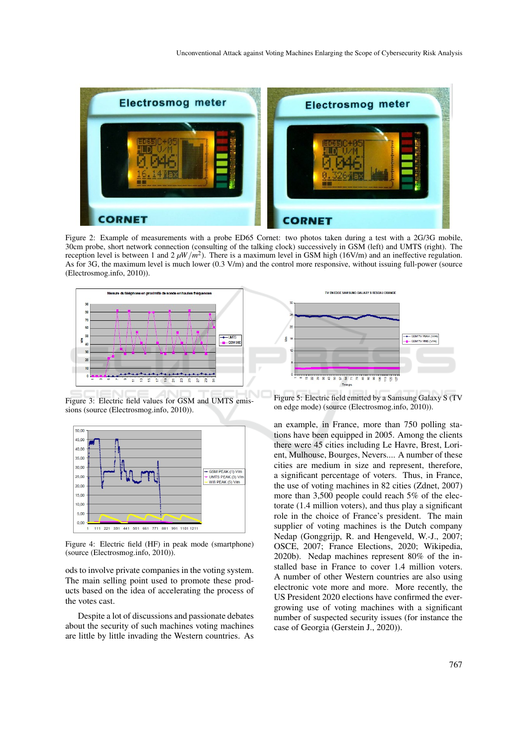

Figure 2: Example of measurements with a probe ED65 Cornet: two photos taken during a test with a 2G/3G mobile, 30cm probe, short network connection (consulting of the talking clock) successively in GSM (left) and UMTS (right). The reception level is between 1 and 2  $\mu$ W/ $m^2$ ). There is a maximum level in GSM high (16V/m) and an ineffective regulation. As for 3G, the maximum level is much lower (0.3 V/m) and the control more responsive, without issuing full-power (source (Electrosmog.info, 2010)).



Figure 3: Electric field values for GSM and UMTS emissions (source (Electrosmog.info, 2010)).



Figure 4: Electric field (HF) in peak mode (smartphone) (source (Electrosmog.info, 2010)).

ods to involve private companies in the voting system. The main selling point used to promote these products based on the idea of accelerating the process of the votes cast.

Despite a lot of discussions and passionate debates about the security of such machines voting machines are little by little invading the Western countries. As



Figure 5: Electric field emitted by a Samsung Galaxy S (TV on edge mode) (source (Electrosmog.info, 2010)).

an example, in France, more than 750 polling stations have been equipped in 2005. Among the clients there were 45 cities including Le Havre, Brest, Lorient, Mulhouse, Bourges, Nevers.... A number of these cities are medium in size and represent, therefore, a significant percentage of voters. Thus, in France, the use of voting machines in 82 cities (Zdnet, 2007) more than 3,500 people could reach 5% of the electorate (1.4 million voters), and thus play a significant role in the choice of France's president. The main supplier of voting machines is the Dutch company Nedap (Gonggrijp, R. and Hengeveld, W.-J., 2007; OSCE, 2007; France Elections, 2020; Wikipedia, 2020b). Nedap machines represent 80% of the installed base in France to cover 1.4 million voters. A number of other Western countries are also using electronic vote more and more. More recently, the US President 2020 elections have confirmed the evergrowing use of voting machines with a significant number of suspected security issues (for instance the case of Georgia (Gerstein J., 2020)).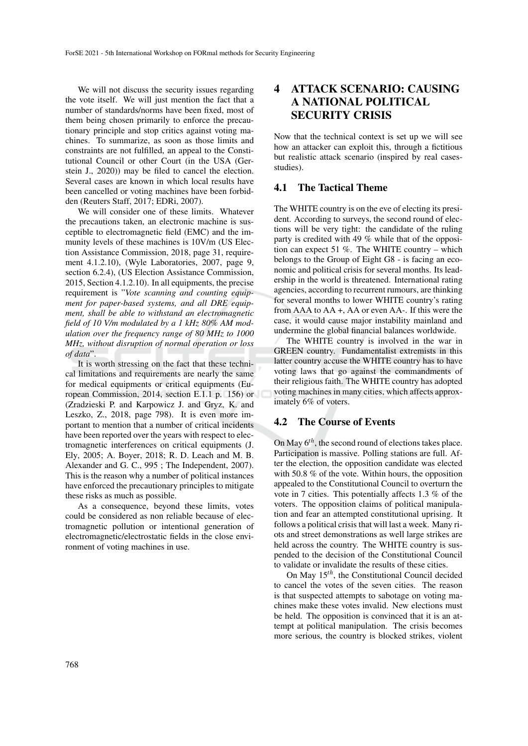We will not discuss the security issues regarding the vote itself. We will just mention the fact that a number of standards/norms have been fixed, most of them being chosen primarily to enforce the precautionary principle and stop critics against voting machines. To summarize, as soon as those limits and constraints are not fulfilled, an appeal to the Constitutional Council or other Court (in the USA (Gerstein J., 2020)) may be filed to cancel the election. Several cases are known in which local results have been cancelled or voting machines have been forbidden (Reuters Staff, 2017; EDRi, 2007).

We will consider one of these limits. Whatever the precautions taken, an electronic machine is susceptible to electromagnetic field (EMC) and the immunity levels of these machines is 10V/m (US Election Assistance Commission, 2018, page 31, requirement 4.1.2.10), (Wyle Laboratories, 2007, page 9, section 6.2.4), (US Election Assistance Commission, 2015, Section 4.1.2.10). In all equipments, the precise requirement is "*Vote scanning and counting equipment for paper-based systems, and all DRE equipment, shall be able to withstand an electromagnetic field of 10 V/m modulated by a 1 kHz 80% AM modulation over the frequency range of 80 MHz to 1000 MHz, without disruption of normal operation or loss of data*".

It is worth stressing on the fact that these technical limitations and requirements are nearly the same for medical equipments or critical equipments (European Commission, 2014, section E.1.1 p. 156) or (Zradzieski P. and Karpowicz J. and Gryz, K. and Leszko, Z., 2018, page 798). It is even more important to mention that a number of critical incidents have been reported over the years with respect to electromagnetic interferences on critical equipments (J. Ely, 2005; A. Boyer, 2018; R. D. Leach and M. B. Alexander and G. C., 995 ; The Independent, 2007). This is the reason why a number of political instances have enforced the precautionary principles to mitigate these risks as much as possible.

As a consequence, beyond these limits, votes could be considered as non reliable because of electromagnetic pollution or intentional generation of electromagnetic/electrostatic fields in the close environment of voting machines in use.

## 4 ATTACK SCENARIO: CAUSING A NATIONAL POLITICAL SECURITY CRISIS

Now that the technical context is set up we will see how an attacker can exploit this, through a fictitious but realistic attack scenario (inspired by real casesstudies).

#### 4.1 The Tactical Theme

The WHITE country is on the eve of electing its president. According to surveys, the second round of elections will be very tight: the candidate of the ruling party is credited with 49 % while that of the opposition can expect 51 %. The WHITE country – which belongs to the Group of Eight G8 - is facing an economic and political crisis for several months. Its leadership in the world is threatened. International rating agencies, according to recurrent rumours, are thinking for several months to lower WHITE country's rating from AAA to AA +, AA or even AA-. If this were the case, it would cause major instability mainland and undermine the global financial balances worldwide.

The WHITE country is involved in the war in GREEN country. Fundamentalist extremists in this latter country accuse the WHITE country has to have voting laws that go against the commandments of their religious faith. The WHITE country has adopted voting machines in many cities, which affects approximately 6% of voters.

#### 4.2 The Course of Events

On May 6*th*, the second round of elections takes place. Participation is massive. Polling stations are full. After the election, the opposition candidate was elected with 50.8 % of the vote. Within hours, the opposition appealed to the Constitutional Council to overturn the vote in 7 cities. This potentially affects 1.3 % of the voters. The opposition claims of political manipulation and fear an attempted constitutional uprising. It follows a political crisis that will last a week. Many riots and street demonstrations as well large strikes are held across the country. The WHITE country is suspended to the decision of the Constitutional Council to validate or invalidate the results of these cities.

On May 15*th*, the Constitutional Council decided to cancel the votes of the seven cities. The reason is that suspected attempts to sabotage on voting machines make these votes invalid. New elections must be held. The opposition is convinced that it is an attempt at political manipulation. The crisis becomes more serious, the country is blocked strikes, violent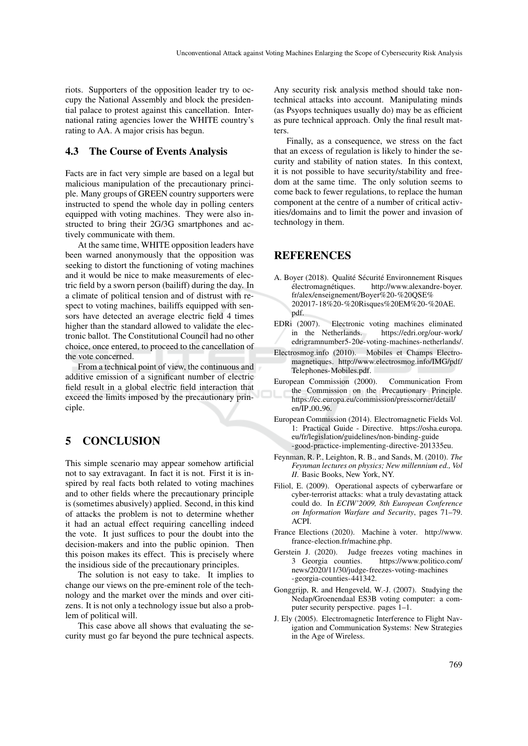riots. Supporters of the opposition leader try to occupy the National Assembly and block the presidential palace to protest against this cancellation. International rating agencies lower the WHITE country's rating to AA. A major crisis has begun.

#### 4.3 The Course of Events Analysis

Facts are in fact very simple are based on a legal but malicious manipulation of the precautionary principle. Many groups of GREEN country supporters were instructed to spend the whole day in polling centers equipped with voting machines. They were also instructed to bring their 2G/3G smartphones and actively communicate with them.

At the same time, WHITE opposition leaders have been warned anonymously that the opposition was seeking to distort the functioning of voting machines and it would be nice to make measurements of electric field by a sworn person (bailiff) during the day. In a climate of political tension and of distrust with respect to voting machines, bailiffs equipped with sensors have detected an average electric field 4 times higher than the standard allowed to validate the electronic ballot. The Constitutional Council had no other choice, once entered, to proceed to the cancellation of the vote concerned.

From a technical point of view, the continuous and additive emission of a significant number of electric field result in a global electric field interaction that exceed the limits imposed by the precautionary principle.

### 5 CONCLUSION

This simple scenario may appear somehow artificial not to say extravagant. In fact it is not. First it is inspired by real facts both related to voting machines and to other fields where the precautionary principle is (sometimes abusively) applied. Second, in this kind of attacks the problem is not to determine whether it had an actual effect requiring cancelling indeed the vote. It just suffices to pour the doubt into the decision-makers and into the public opinion. Then this poison makes its effect. This is precisely where the insidious side of the precautionary principles.

The solution is not easy to take. It implies to change our views on the pre-eminent role of the technology and the market over the minds and over citizens. It is not only a technology issue but also a problem of political will.

This case above all shows that evaluating the security must go far beyond the pure technical aspects.

Any security risk analysis method should take nontechnical attacks into account. Manipulating minds (as Psyops techniques usually do) may be as efficient as pure technical approach. Only the final result matters.

Finally, as a consequence, we stress on the fact that an excess of regulation is likely to hinder the security and stability of nation states. In this context, it is not possible to have security/stability and freedom at the same time. The only solution seems to come back to fewer regulations, to replace the human component at the centre of a number of critical activities/domains and to limit the power and invasion of technology in them.

### **REFERENCES**

- A. Boyer (2018). Qualité Sécurité Environnement Risques électromagnétiques. http://www.alexandre-boyer. fr/alex/enseignement/Boyer%20-%20QSE% 202017-18%20-%20Risques%20EM%20-%20AE. pdf.
- EDRi (2007). Electronic voting machines eliminated https://edri.org/our-work/ edrigramnumber5-20e-voting-machines-netherlands/.
- Electrosmog.info (2010). Mobiles et Champs Electromagnetiques. http://www.electrosmog.info/IMG/pdf/ Telephones-Mobiles.pdf.
- European Commission (2000). Communication From the Commission on the Precautionary Principle. https://ec.europa.eu/commission/presscorner/detail/ en/IP<sub>-00-96</sub>.
- European Commission (2014). Electromagnetic Fields Vol. 1: Practical Guide - Directive. https://osha.europa. eu/fr/legislation/guidelines/non-binding-guide -good-practice-implementing-directive-201335eu.
- Feynman, R. P., Leighton, R. B., and Sands, M. (2010). *The Feynman lectures on physics; New millennium ed., Vol II*. Basic Books, New York, NY.
- Filiol, E. (2009). Operational aspects of cyberwarfare or cyber-terrorist attacks: what a truly devastating attack could do. In *ECIW'2009, 8th European Conference on Information Warfare and Security*, pages 71–79. ACPI.
- France Elections (2020). Machine à voter. http://www. france-election.fr/machine.php.
- Gerstein J. (2020). Judge freezes voting machines in 3 Georgia counties. https://www.politico.com/ news/2020/11/30/judge-freezes-voting-machines -georgia-counties-441342.
- Gonggrijp, R. and Hengeveld, W.-J. (2007). Studying the Nedap/Groenendaal ES3B voting computer: a computer security perspective. pages 1–1.
- J. Ely (2005). Electromagnetic Interference to Flight Navigation and Communication Systems: New Strategies in the Age of Wireless.